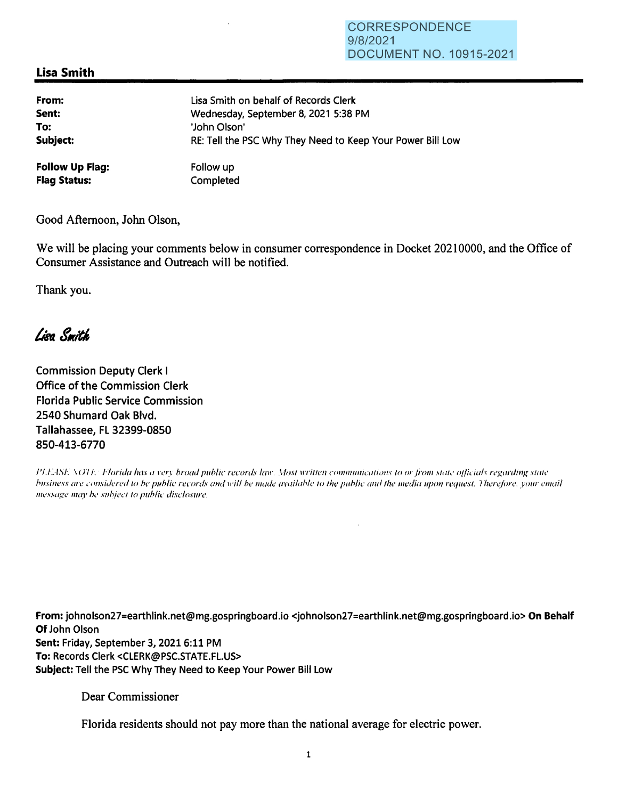## **Lisa Smith**

| From:                  | Lisa Smith on behalf of Records Clerk                      |
|------------------------|------------------------------------------------------------|
| Sent:                  | Wednesday, September 8, 2021 5:38 PM                       |
| To:                    | 'John Olson'                                               |
| Subject:               | RE: Tell the PSC Why They Need to Keep Your Power Bill Low |
| <b>Follow Up Flag:</b> | Follow up                                                  |
| <b>Flag Status:</b>    | Completed                                                  |

Good Afternoon, John Olson,

We will be placing your comments below in consumer correspondence in Docket 20210000, and the Office of Consumer Assistance and Outreach will be notified.

Thank you.

## Lieg Smith

**Commission Deputy Clerk I** Office of the Commission Clerk **Florida Public Service Commission** 2540 Shumard Oak Blvd. Tallahassee, FL 32399-0850 850-413-6770

PLEASE NOTE: Florida has a very broad public records law. Most written communications to or from state officials regarding state business are considered to be public records and will be made available to the public and the media upon request. Therefore, your email message may be subject to public disclosure.

From: johnolson27=earthlink.net@mg.gospringboard.io <johnolson27=earthlink.net@mg.gospringboard.io> On Behalf Of John Olson Sent: Friday, September 3, 2021 6:11 PM To: Records Clerk <CLERK@PSC.STATE.FL.US> Subject: Tell the PSC Why They Need to Keep Your Power Bill Low

Dear Commissioner

Florida residents should not pay more than the national average for electric power.